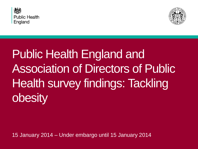



Public Health England and Association of Directors of Public Health survey findings: Tackling obesity

15 January 2014 – Under embargo until 15 January 2014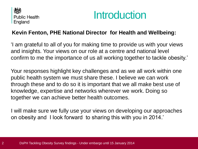



### **Kevin Fenton, PHE National Director for Health and Wellbeing:**

'I am grateful to all of you for making time to provide us with your views and insights. Your views on our role at a centre and national level confirm to me the importance of us all working together to tackle obesity.'

Your responses highlight key challenges and as we all work within one public health system we must share these. I believe we can work through these and to do so it is important that we all make best use of knowledge, expertise and networks wherever we work. Doing so together we can achieve better health outcomes.

I will make sure we fully use your views on developing our approaches on obesity and I look forward to sharing this with you in 2014.'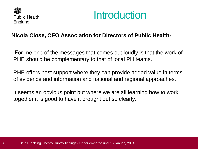



### **Nicola Close, CEO Association for Directors of Public Health:**

'For me one of the messages that comes out loudly is that the work of PHE should be complementary to that of local PH teams.

PHE offers best support where they can provide added value in terms of evidence and information and national and regional approaches.

It seems an obvious point but where we are all learning how to work together it is good to have it brought out so clearly.'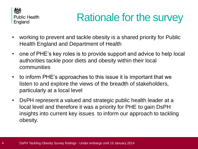

# Rationale for the survey

- working to prevent and tackle obesity is a shared priority for Public Health England and Department of Health
- one of PHE's key roles is to provide support and advice to help local authorities tackle poor diets and obesity within their local communities
- to inform PHE's approaches to this issue it is important that we listen to and explore the views of the breadth of stakeholders, particularly at a local level
- DsPH represent a valued and strategic public health leader at a local level and therefore it was a priority for PHE to gain DsPH insights into current key issues to inform our approach to tackling obesity.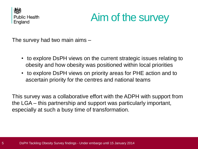

# Aim of the survey

The survey had two main aims –

- to explore DsPH views on the current strategic issues relating to obesity and how obesity was positioned within local priorities
- to explore DsPH views on priority areas for PHE action and to ascertain priority for the centres and national teams

This survey was a collaborative effort with the ADPH with support from the LGA – this partnership and support was particularly important, especially at such a busy time of transformation.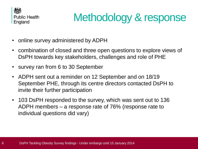

# Methodology & response

- online survey administered by ADPH
- combination of closed and three open questions to explore views of DsPH towards key stakeholders, challenges and role of PHE
- survey ran from 6 to 30 September
- ADPH sent out a reminder on 12 September and on 18/19 September PHE, through its centre directors contacted DsPH to invite their further participation
- 103 DsPH responded to the survey, which was sent out to 136 ADPH members – a response rate of 76% (response rate to individual questions did vary)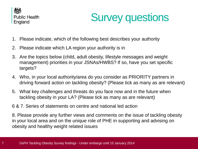

# Survey questions

- 1. Please indicate, which of the following best describes your authority
- 2. Please indicate which LA region your authority is in
- 3. Are the topics below (child, adult obesity, lifestyle messages and weight management) priorities in your JSNAs/HWBS? If so, have you set specific targets?
- 4. Who, in your local authority/area do you consider as PRIORITY partners in driving forward action on tackling obesity? (Please tick as many as are relevant)
- 5. What key challenges and threats do you face now and in the future when tackling obesity in your LA? (Please tick as many as are relevant)
- 6 & 7. Series of statements on centre and national led action

8. Please provide any further views and comments on the issue of tackling obesity in your local area and on the unique role of PHE in supporting and advising on obesity and healthy weight related issues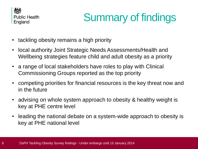

# Summary of findings

- tackling obesity remains a high priority
- local authority Joint Strategic Needs Assessments/Health and Wellbeing strategies feature child and adult obesity as a priority
- a range of local stakeholders have roles to play with Clinical Commissioning Groups reported as the top priority
- competing priorities for financial resources is the key threat now and in the future
- advising on whole system approach to obesity & healthy weight is key at PHE centre level
- leading the national debate on a system-wide approach to obesity is key at PHE national level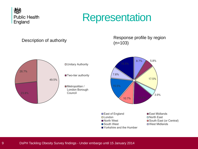

### **Representation**

#### Description of authority



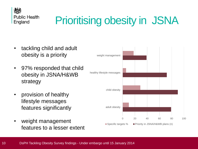

# Prioritising obesity in JSNA

- tackling child and adult obesity is a priority
- 97% responded that child obesity in JSNA/H&WB strategy
- provision of healthy lifestyle messages features significantly
- weight management features to a lesser extent

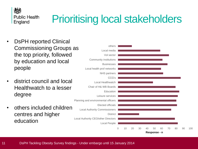

# Prioritising local stakeholders

- DsPH reported Clinical Commissioning Groups as the top priority, followed by education and local people
- district council and local Healthwatch to a lesser degree
- others included children centres and higher education

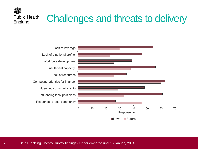### Challenges and threats to delivery **Public Health**



颂

England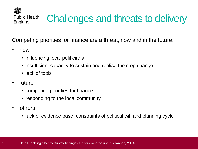

# Challenges and threats to delivery

Competing priorities for finance are a threat, now and in the future:

- now
	- influencing local politicians
	- insufficient capacity to sustain and realise the step change
	- lack of tools
- future
	- competing priorities for finance
	- responding to the local community
- others
	- lack of evidence base; constraints of political will and planning cycle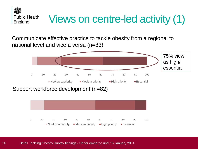

# Views on centre-led activity (1)

Communicate effective practice to tackle obesity from a regional to national level and vice a versa (n=83)



Support workforce development (n=82)

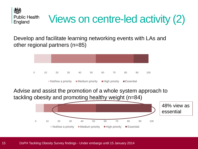

# Views on centre-led activity (2)

Develop and facilitate learning networking events with LAs and other regional partners (n=85)



Advise and assist the promotion of a whole system approach to tackling obesity and promoting healthy weight (n=84)

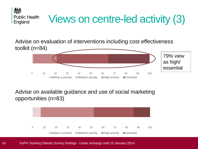

Advise on evaluation of interventions including cost effectiveness toolkit (n=84)



Advise on available guidance and use of social marketing opportunities (n=83)



16 DsPH Tackling Obesity Survey findings - Under embargo until 15 January 2014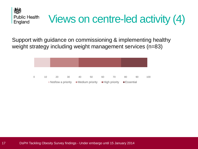

Support with guidance on commissioning & implementing healthy weight strategy including weight management services (n=83)

| $\Omega$ | 10                                                                                                                     | 20 | 30 | 40 | 50 | 60 | 70 | 80 | 90 | 100 |
|----------|------------------------------------------------------------------------------------------------------------------------|----|----|----|----|----|----|----|----|-----|
|          | $\blacksquare$ Not/low a priority $\blacksquare$ Medium priority $\blacksquare$ High priority $\blacksquare$ Essential |    |    |    |    |    |    |    |    |     |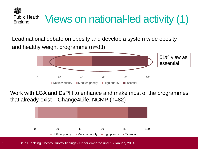**Public Health** Views on national-led activity (1) England

Lead national debate on obesity and develop a system wide obesity and healthy weight programme (n=83)



Work with LGA and DsPH to enhance and make most of the programmes that already exist – Change4Life, NCMP (n=82)



18 DsPH Tackling Obesity Survey findings - Under embargo until 15 January 2014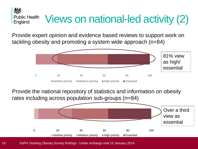#### Views on national-led activity (2) **Public Health** England

Provide expert opinion and evidence based reviews to support work on tackling obesity and promoting a system wide approach (n=84)



Provide the national repository of statistics and information on obesity rates including across population sub-groups (n=84)



19 DsPH Tackling Obesity Survey findings - Under embargo until 15 January 2014

人员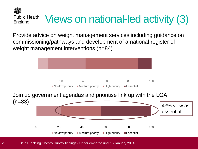人民 **Public Health** Views on national-led activity (3) England

Provide advice on weight management services including guidance on commissioning/pathways and development of a national register of weight management interventions (n=84)



20 DsPH Tackling Obesity Survey findings - Under embargo until 15 January 2014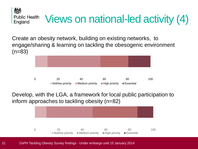Create an obesity network, building on existing networks, to engage/sharing & learning on tackling the obesogenic environment  $(n=83)$ 

Views on national-led activity (4)



Develop, with the LGA, a framework for local public participation to inform approaches to tackling obesity (n=82)



21 DsPH Tackling Obesity Survey findings - Under embargo until 15 January 2014

公母

**Public Health** 

England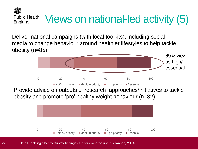人员 **Public Health** Views on national-led activity (5) England

Deliver national campaigns (with local toolkits), including social media to change behaviour around healthier lifestyles to help tackle obesity (n=85)



Provide advice on outputs of research approaches/initiatives to tackle obesity and promote 'pro' healthy weight behaviour (n=82)



22 DsPH Tackling Obesity Survey findings - Under embargo until 15 January 2014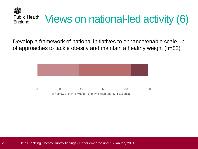

Develop a framework of national initiatives to enhance/enable scale up of approaches to tackle obesity and maintain a healthy weight (n=82)

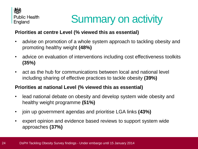

# Summary on activity

#### **Priorities at centre Level (% viewed this as essential)**

- advise on promotion of a whole system approach to tackling obesity and promoting healthy weight **(48%)**
- advice on evaluation of interventions including cost effectiveness toolkits **(35%)**
- act as the hub for communications between local and national level including sharing of effective practices to tackle obesity **(39%)**

#### **Priorities at national Level (% viewed this as essential)**

- lead national debate on obesity and develop system wide obesity and healthy weight programme **(51%)**
- join up government agendas and prioritise LGA links **(43%)**
- expert opinion and evidence based reviews to support system wide approaches **(37%)**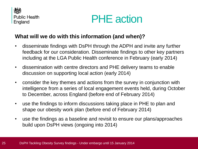



### **What will we do with this information (and when)?**

- disseminate findings with DsPH through the ADPH and invite any further feedback for our consideration. Disseminate findings to other key partners including at the LGA Public Health conference in February (early 2014)
- dissemination with centre directors and PHE delivery teams to enable discussion on supporting local action (early 2014)
- consider the key themes and actions from the survey in conjunction with intelligence from a series of local engagement events held, during October to December, across England (before end of February 2014)
- use the findings to inform discussions taking place in PHE to plan and shape our obesity work plan (before end of February 2014)
- use the findings as a baseline and revisit to ensure our plans/approaches build upon DsPH views (ongoing into 2014)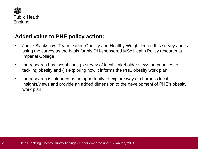

#### **Added value to PHE policy action:**

- Jamie Blackshaw, Team leader: Obesity and Healthy Weight led on this survey and is using the survey as the basis for his DH-sponsored MSc Health Policy research at Imperial College
- the research has two phases (i) survey of local stakeholder views on priorities to tackling obesity and (ii) exploring how it informs the PHE obesity work plan
- the research is intended as an opportunity to explore ways to harness local insights/views and provide an added dimension to the development of PHE's obesity work plan